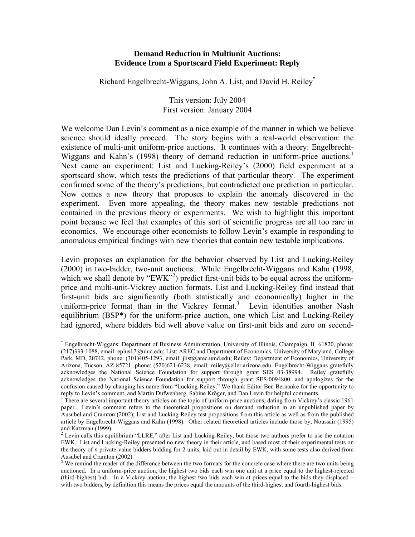#### **Demand Reduction in Multiunit Auctions: Evidence from a Sportscard Field Experiment: Reply**

Richard Engelbrecht-Wiggans, John A. List, and David H. Reiley\*

This version: July 2004 First version: January 2004

We welcome Dan Levin's comment as a nice example of the manner in which we believe science should ideally proceed. The story begins with a real-world observation: the existence of multi-unit uniform-price auctions. It continues with a theory: Engelbrecht-Wiggans and Kahn's (1998) theory of demand reduction in uniform-price auctions.<sup>1</sup> Next came an experiment: List and Lucking-Reiley's (2000) field experiment at a sportscard show, which tests the predictions of that particular theory. The experiment confirmed some of the theory's predictions, but contradicted one prediction in particular. Now comes a new theory that proposes to explain the anomaly discovered in the experiment. Even more appealing, the theory makes new testable predictions not contained in the previous theory or experiments. We wish to highlight this important point because we feel that examples of this sort of scientific progress are all too rare in economics. We encourage other economists to follow Levin's example in responding to anomalous empirical findings with new theories that contain new testable implications.

Levin proposes an explanation for the behavior observed by List and Lucking-Reiley (2000) in two-bidder, two-unit auctions. While Engelbrecht-Wiggans and Kahn (1998, which we shall denote by "EWK"<sup>2</sup>) predict first-unit bids to be equal across the uniformprice and multi-unit-Vickrey auction formats, List and Lucking-Reiley find instead that first-unit bids are significantly (both statistically and economically) higher in the uniform-price format than in the Vickrey format.<sup>3</sup> Levin identifies another Nash equilibrium (BSP\*) for the uniform-price auction, one which List and Lucking-Reiley had ignored, where bidders bid well above value on first-unit bids and zero on second-

<sup>\*</sup> Engelbrecht-Wiggans: Department of Business Administration, University of Illinois, Champaign, IL 61820, phone: (217)333-1088, email: eplus17@uiuc.edu; List: AREC and Department of Economics, University of Maryland, College Park, MD, 20742, phone: (301)405-1293, email: jlist@arec.umd.edu; Reiley: Department of Economics, University of Arizona, Tucson, AZ 85721, phone: (520)621-6238, email: reiley@eller.arizona.edu. Engelbrecht-Wiggans gratefully acknowledges the National Science Foundation for support through grant SES 03-38994. Reiley gratefully acknowledges the National Science Foundation for support through grant SES-0094800, and apologizes for the confusion caused by changing his name from "Lucking-Reiley." We thank Editor Ben Bernanke for the opportunity to reply to Levin's comment, and Martin Dufwenberg, Sabine Kröger, and Dan Levin for helpful comments.<br><sup>1</sup> There are sourcel important theory articles on the topic of uniform price quotiens, dating from Vielroy's

There are several important theory articles on the topic of uniform-price auctions, dating from Vickrey's classic 1961 paper. Levin's comment refers to the theoretical propositions on demand reduction in an unpublished paper by Ausubel and Cramton (2002); List and Lucking-Reiley test propositions from this article as well as from the published article by Engelbrecht-Wiggans and Kahn (1998). Other related theoretical articles include those by, Noussair (1995) and Katzman (1999).

 $<sup>2</sup>$  Levin calls this equilibrium "LLRE," after List and Lucking-Reiley, but those two authors prefer to use the notation</sup> EWK. List and Lucking-Reiley presented no new theory in their article, and based most of their experimental tests on the theory of *n* private-value bidders bidding for 2 units, laid out in detail by EWK, with some tests also derived from Ausubel and Cramton (2002).<br><sup>3</sup> We remind the reader of the difference between the two formats for the concrete case where there are two units being

auctioned. In a uniform-price auction, the highest two bids each win one unit at a price equal to the highest-rejected (third-highest) bid. In a Vickrey auction, the highest two bids each win at prices equal to the bids they displaced – with two bidders, by definition this means the prices equal the amounts of the third-highest and fourth-highest bids.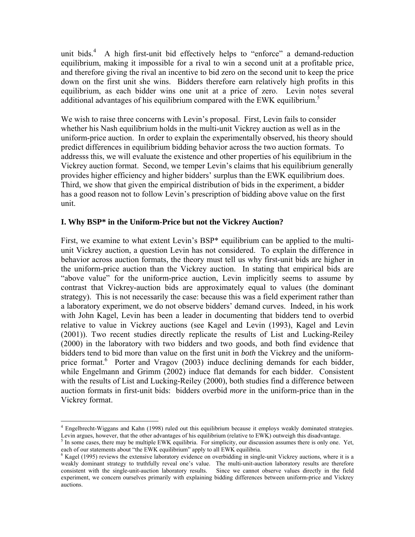unit bids.<sup>4</sup> A high first-unit bid effectively helps to "enforce" a demand-reduction equilibrium, making it impossible for a rival to win a second unit at a profitable price, and therefore giving the rival an incentive to bid zero on the second unit to keep the price down on the first unit she wins. Bidders therefore earn relatively high profits in this equilibrium, as each bidder wins one unit at a price of zero. Levin notes several additional advantages of his equilibrium compared with the EWK equilibrium.<sup>5</sup>

We wish to raise three concerns with Levin's proposal. First, Levin fails to consider whether his Nash equilibrium holds in the multi-unit Vickrey auction as well as in the uniform-price auction. In order to explain the experimentally observed, his theory should predict differences in equilibrium bidding behavior across the two auction formats. To addresss this, we will evaluate the existence and other properties of his equilibrium in the Vickrey auction format. Second, we temper Levin's claims that his equilibrium generally provides higher efficiency and higher bidders' surplus than the EWK equilibrium does. Third, we show that given the empirical distribution of bids in the experiment, a bidder has a good reason not to follow Levin's prescription of bidding above value on the first unit.

## **I. Why BSP\* in the Uniform-Price but not the Vickrey Auction?**

First, we examine to what extent Levin's BSP\* equilibrium can be applied to the multiunit Vickrey auction, a question Levin has not considered. To explain the difference in behavior across auction formats, the theory must tell us why first-unit bids are higher in the uniform-price auction than the Vickrey auction. In stating that empirical bids are "above value" for the uniform-price auction, Levin implicitly seems to assume by contrast that Vickrey-auction bids are approximately equal to values (the dominant strategy). This is not necessarily the case: because this was a field experiment rather than a laboratory experiment, we do not observe bidders' demand curves. Indeed, in his work with John Kagel, Levin has been a leader in documenting that bidders tend to overbid relative to value in Vickrey auctions (see Kagel and Levin (1993), Kagel and Levin (2001)). Two recent studies directly replicate the results of List and Lucking-Reiley (2000) in the laboratory with two bidders and two goods, and both find evidence that bidders tend to bid more than value on the first unit in *both* the Vickrey and the uniformprice format.<sup>6</sup> Porter and Vragov (2003) induce declining demands for each bidder, while Engelmann and Grimm (2002) induce flat demands for each bidder. Consistent with the results of List and Lucking-Reiley (2000), both studies find a difference between auction formats in first-unit bids: bidders overbid *more* in the uniform-price than in the Vickrey format.

<sup>&</sup>lt;sup>4</sup> Engelbrecht-Wiggans and Kahn (1998) ruled out this equilibrium because it employs weakly dominated strategies. Levin argues, however, that the other advantages of his equilibrium (relative to EWK) outweigh this disadvantage.

 $<sup>5</sup>$  In some cases, there may be multiple EWK equilibria. For simplicity, our discussion assumes there is only one. Yet,</sup> each of our statements about "the EWK equilibrium" apply to all EWK equilibria.

<sup>&</sup>lt;sup>6</sup> Kagel (1995) reviews the extensive laboratory evidence on overbidding in single-unit Vickrey auctions, where it is a weakly dominant strategy to truthfully reveal one's value. The multi-unit-auction laboratory results are therefore consistent with the single-unit-auction laboratory results. Since we cannot observe values directly in the field experiment, we concern ourselves primarily with explaining bidding differences between uniform-price and Vickrey auctions.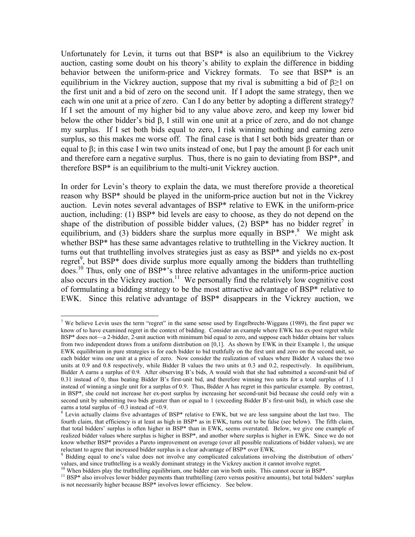Unfortunately for Levin, it turns out that BSP\* is also an equilibrium to the Vickrey auction, casting some doubt on his theory's ability to explain the difference in bidding behavior between the uniform-price and Vickrey formats. To see that BSP\* is an equilibrium in the Vickrey auction, suppose that my rival is submitting a bid of  $\beta \geq 1$  on the first unit and a bid of zero on the second unit. If I adopt the same strategy, then we each win one unit at a price of zero. Can I do any better by adopting a different strategy? If I set the amount of my higher bid to any value above zero, and keep my lower bid below the other bidder's bid β, I still win one unit at a price of zero, and do not change my surplus. If I set both bids equal to zero, I risk winning nothing and earning zero surplus, so this makes me worse off. The final case is that I set both bids greater than or equal to β; in this case I win two units instead of one, but I pay the amount β for each unit and therefore earn a negative surplus. Thus, there is no gain to deviating from BSP\*, and therefore BSP\* is an equilibrium to the multi-unit Vickrey auction.

In order for Levin's theory to explain the data, we must therefore provide a theoretical reason why BSP\* should be played in the uniform-price auction but not in the Vickrey auction. Levin notes several advantages of BSP\* relative to EWK in the uniform-price auction, including: (1) BSP\* bid levels are easy to choose, as they do not depend on the shape of the distribution of possible bidder values, (2) BSP\* has no bidder regret<sup>7</sup> in equilibrium, and (3) bidders share the surplus more equally in  $BSP^*$ .<sup>8</sup> We might ask whether BSP\* has these same advantages relative to truthtelling in the Vickrey auction. It turns out that truthtelling involves strategies just as easy as BSP\* and yields no ex-post regret<sup>9</sup>, but BSP\* does divide surplus more equally among the bidders than truthtelling does.10 Thus, only one of BSP\*'s three relative advantages in the uniform-price auction also occurs in the Vickrey auction.<sup>11</sup> We personally find the relatively low cognitive cost of formulating a bidding strategy to be the most attractive advantage of BSP\* relative to EWK. Since this relative advantage of BSP\* disappears in the Vickrey auction, we

<sup>&</sup>lt;sup>7</sup> We believe Levin uses the term "regret" in the same sense used by Engelbrecht-Wiggans (1989), the first paper we know of to have examined regret in the context of bidding. Consider an example where EWK has ex-post regret while BSP\* does not—a 2-bidder, 2-unit auction with minimum bid equal to zero, and suppose each bidder obtains her values from two independent draws from a uniform distribution on  $[0,1]$ . As shown by EWK in their Example 1, the unique EWK equilibrium in pure strategies is for each bidder to bid truthfully on the first unit and zero on the second unit, so each bidder wins one unit at a price of zero. Now consider the realization of values where Bidder A values the two units at 0.9 and 0.8 respectively, while Bidder B values the two units at 0.3 and 0.2, respectively. In equilibrium, Bidder A earns a surplus of 0.9. After observing B's bids, A would wish that she had submitted a second-unit bid of 0.31 instead of 0, thus beating Bidder B's first-unit bid, and therefore winning two units for a total surplus of 1.1 instead of winning a single unit for a surplus of 0.9. Thus, Bidder A has regret in this particular example. By contrast, in BSP\*, she could not increase her ex-post surplus by increasing her second-unit bid because she could only win a second unit by submitting two bids greater than or equal to 1 (exceeding Bidder B's first-unit bid), in which case she earns a total surplus of  $-0.3$  instead of  $+0.9$ .

<sup>&</sup>lt;sup>8</sup> Levin actually claims five advantages of BSP\* relative to EWK, but we are less sanguine about the last two. The fourth claim, that efficiency is at least as high in BSP\* as in EWK, turns out to be false (see below). The fifth claim, that total bidders' surplus is often higher in BSP\* than in EWK, seems overstated. Below, we give one example of realized bidder values where surplus is higher in BSP\*, and another where surplus is higher in EWK. Since we do not know whether BSP\* provides a Pareto improvement on average (over all possible realizations of bidder values), we are reluctant to agree that increased bidder surplus is a clear advantage of BSP\* over EWK.

<sup>&</sup>lt;sup>9</sup> Bidding equal to one's value does not involve any complicated calculations involving the distribution of others' values, and since truthtelling is a weakly dominant strategy in the Vickrey auction it cannot involve regret.<br><sup>10</sup> When bidders play the truthtelling equilibrium, one bidder can win both units. This cannot occur in BSP\*.<br><sup></sup>

is not necessarily higher because BSP\* involves lower efficiency. See below.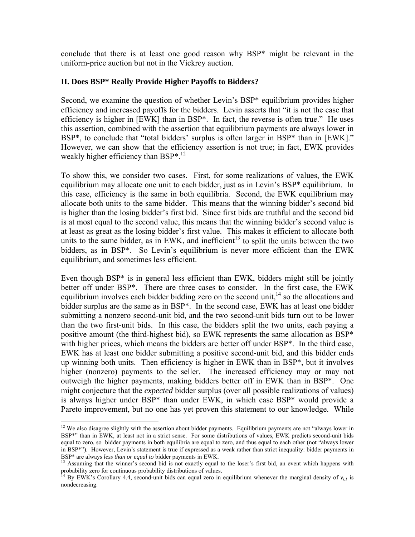conclude that there is at least one good reason why BSP\* might be relevant in the uniform-price auction but not in the Vickrey auction.

## **II. Does BSP\* Really Provide Higher Payoffs to Bidders?**

Second, we examine the question of whether Levin's BSP\* equilibrium provides higher efficiency and increased payoffs for the bidders. Levin asserts that "it is not the case that efficiency is higher in [EWK] than in BSP\*. In fact, the reverse is often true." He uses this assertion, combined with the assertion that equilibrium payments are always lower in BSP<sup>\*</sup>, to conclude that "total bidders' surplus is often larger in BSP<sup>\*</sup> than in [EWK]." However, we can show that the efficiency assertion is not true; in fact, EWK provides weakly higher efficiency than BSP<sup>\*.12</sup>

To show this, we consider two cases. First, for some realizations of values, the EWK equilibrium may allocate one unit to each bidder, just as in Levin's BSP\* equilibrium. In this case, efficiency is the same in both equilibria. Second, the EWK equilibrium may allocate both units to the same bidder. This means that the winning bidder's second bid is higher than the losing bidder's first bid. Since first bids are truthful and the second bid is at most equal to the second value, this means that the winning bidder's second value is at least as great as the losing bidder's first value. This makes it efficient to allocate both units to the same bidder, as in EWK, and inefficient<sup>13</sup> to split the units between the two bidders, as in BSP\*. So Levin's equilibrium is never more efficient than the EWK equilibrium, and sometimes less efficient.

Even though BSP\* is in general less efficient than EWK, bidders might still be jointly better off under BSP\*. There are three cases to consider. In the first case, the EWK equilibrium involves each bidder bidding zero on the second unit,  $14$  so the allocations and bidder surplus are the same as in BSP\*. In the second case, EWK has at least one bidder submitting a nonzero second-unit bid, and the two second-unit bids turn out to be lower than the two first-unit bids. In this case, the bidders split the two units, each paying a positive amount (the third-highest bid), so EWK represents the same allocation as BSP\* with higher prices, which means the bidders are better off under BSP<sup>\*</sup>. In the third case, EWK has at least one bidder submitting a positive second-unit bid, and this bidder ends up winning both units. Then efficiency is higher in EWK than in BSP\*, but it involves higher (nonzero) payments to the seller. The increased efficiency may or may not outweigh the higher payments, making bidders better off in EWK than in BSP\*. One might conjecture that the *expected* bidder surplus (over all possible realizations of values) is always higher under BSP\* than under EWK, in which case BSP\* would provide a Pareto improvement, but no one has yet proven this statement to our knowledge. While

<sup>&</sup>lt;sup>12</sup> We also disagree slightly with the assertion about bidder payments. Equilibrium payments are not "always lower in BSP\*" than in EWK, at least not in a strict sense. For some distributions of values, EWK predicts second-unit bids equal to zero, so bidder payments in both equilibria are equal to zero, and thus equal to each other (not "always lower in BSP\*"). However, Levin's statement is true if expressed as a weak rather than strict inequality: bidder payments in

BSP<sup>\*</sup> are always *less than or equal to* bidder payments in EWK.<br><sup>13</sup> Assuming that the winner's second bid is not exactly equal to the loser's first bid, an event which happens with probability zero for continuous probability distributions of values.<br><sup>14</sup> By EWK's Corollary 4.4, second-unit bids can equal zero in equilibrium whenever the marginal density of *v<sub>i,1</sub>* is

nondecreasing.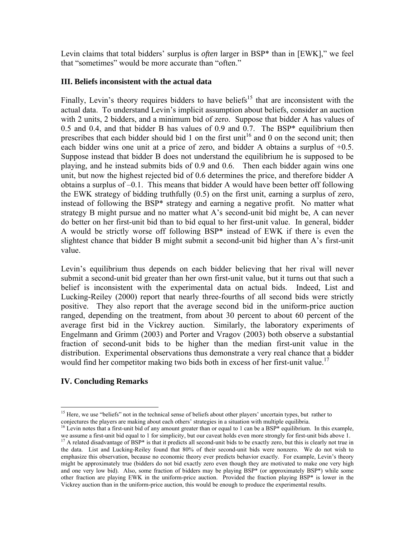Levin claims that total bidders' surplus is *often* larger in BSP\* than in [EWK]," we feel that "sometimes" would be more accurate than "often."

# **III. Beliefs inconsistent with the actual data**

Finally, Levin's theory requires bidders to have beliefs<sup>15</sup> that are inconsistent with the actual data. To understand Levin's implicit assumption about beliefs, consider an auction with 2 units, 2 bidders, and a minimum bid of zero. Suppose that bidder A has values of 0.5 and 0.4, and that bidder B has values of 0.9 and 0.7. The BSP\* equilibrium then prescribes that each bidder should bid 1 on the first unit<sup>16</sup> and 0 on the second unit; then each bidder wins one unit at a price of zero, and bidder A obtains a surplus of +0.5. Suppose instead that bidder B does not understand the equilibrium he is supposed to be playing, and he instead submits bids of 0.9 and 0.6. Then each bidder again wins one unit, but now the highest rejected bid of 0.6 determines the price, and therefore bidder A obtains a surplus of –0.1. This means that bidder A would have been better off following the EWK strategy of bidding truthfully (0.5) on the first unit, earning a surplus of zero, instead of following the BSP\* strategy and earning a negative profit. No matter what strategy B might pursue and no matter what A's second-unit bid might be, A can never do better on her first-unit bid than to bid equal to her first-unit value. In general, bidder A would be strictly worse off following BSP\* instead of EWK if there is even the slightest chance that bidder B might submit a second-unit bid higher than A's first-unit value.

Levin's equilibrium thus depends on each bidder believing that her rival will never submit a second-unit bid greater than her own first-unit value, but it turns out that such a belief is inconsistent with the experimental data on actual bids. Indeed, List and Lucking-Reiley (2000) report that nearly three-fourths of all second bids were strictly positive. They also report that the average second bid in the uniform-price auction ranged, depending on the treatment, from about 30 percent to about 60 percent of the average first bid in the Vickrey auction. Similarly, the laboratory experiments of Engelmann and Grimm (2003) and Porter and Vragov (2003) both observe a substantial fraction of second-unit bids to be higher than the median first-unit value in the distribution. Experimental observations thus demonstrate a very real chance that a bidder would find her competitor making two bids both in excess of her first-unit value.<sup>17</sup>

# **IV. Concluding Remarks**

 $\overline{a}$ 

<sup>&</sup>lt;sup>15</sup> Here, we use "beliefs" not in the technical sense of beliefs about other players' uncertain types, but rather to conjectures the players are making about each others' strategies in a situation with multiple equilibria.<br><sup>16</sup> Levin notes that a first-unit bid of any amount greater than or equal to 1 can be a BSP\* equilibrium. In this e

we assume a first-unit bid equal to 1 for simplicity, but our caveat holds even more strongly for first-unit bids above 1.<br><sup>17</sup> A related disadvantage of BSP\* is that it predicts all second-unit bids to be exactly zero, bu

the data. List and Lucking-Reiley found that 80% of their second-unit bids were nonzero. We do not wish to emphasize this observation, because no economic theory ever predicts behavior exactly. For example, Levin's theory might be approximately true (bidders do not bid exactly zero even though they are motivated to make one very high and one very low bid). Also, some fraction of bidders may be playing BSP\* (or approximately BSP\*) while some other fraction are playing EWK in the uniform-price auction. Provided the fraction playing BSP\* is lower in the Vickrey auction than in the uniform-price auction, this would be enough to produce the experimental results.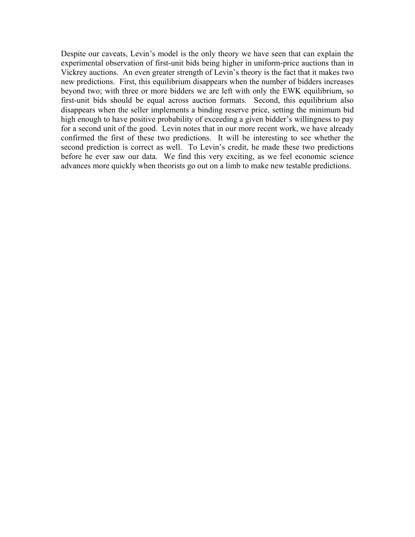Despite our caveats, Levin's model is the only theory we have seen that can explain the experimental observation of first-unit bids being higher in uniform-price auctions than in Vickrey auctions. An even greater strength of Levin's theory is the fact that it makes two new predictions. First, this equilibrium disappears when the number of bidders increases beyond two; with three or more bidders we are left with only the EWK equilibrium, so first-unit bids should be equal across auction formats. Second, this equilibrium also disappears when the seller implements a binding reserve price, setting the minimum bid high enough to have positive probability of exceeding a given bidder's willingness to pay for a second unit of the good. Levin notes that in our more recent work, we have already confirmed the first of these two predictions. It will be interesting to see whether the second prediction is correct as well. To Levin's credit, he made these two predictions before he ever saw our data. We find this very exciting, as we feel economic science advances more quickly when theorists go out on a limb to make new testable predictions.